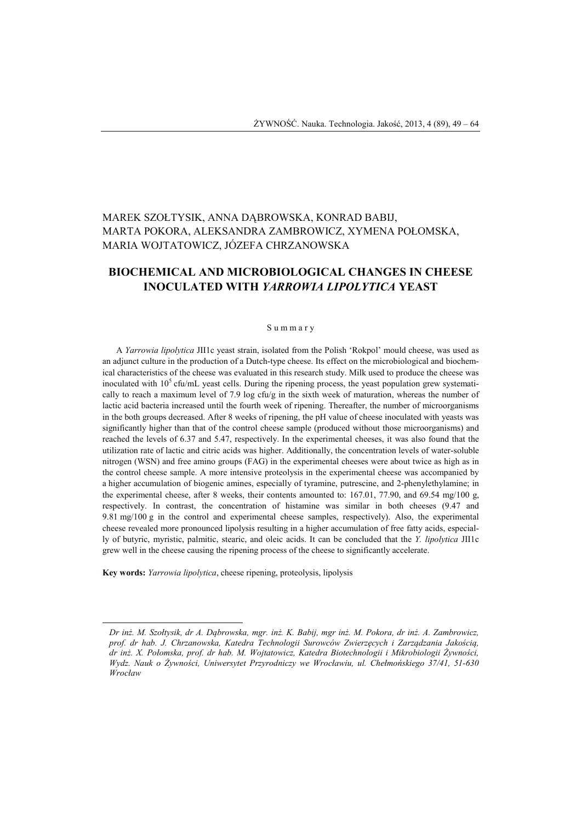## MAREK SZOŁTYSIK, ANNA DĄBROWSKA, KONRAD BABIJ, MARTA POKORA, ALEKSANDRA ZAMBROWICZ, XYMENA POŁOMSKA, MARIA WOJTATOWICZ, JÓZEFA CHRZANOWSKA

# **BIOCHEMICAL AND MICROBIOLOGICAL CHANGES IN CHEESE INOCULATED WITH** *YARROWIA LIPOLYTICA* **YEAST**

#### S u m m a r y

A *Yarrowia lipolytica* JII1c yeast strain, isolated from the Polish 'Rokpol' mould cheese, was used as an adjunct culture in the production of a Dutch-type cheese. Its effect on the microbiological and biochemical characteristics of the cheese was evaluated in this research study. Milk used to produce the cheese was inoculated with  $10<sup>5</sup>$  cfu/mL yeast cells. During the ripening process, the yeast population grew systematically to reach a maximum level of 7.9 log cfu/g in the sixth week of maturation, whereas the number of lactic acid bacteria increased until the fourth week of ripening. Thereafter, the number of microorganisms in the both groups decreased. After 8 weeks of ripening, the pH value of cheese inoculated with yeasts was significantly higher than that of the control cheese sample (produced without those microorganisms) and reached the levels of 6.37 and 5.47, respectively. In the experimental cheeses, it was also found that the utilization rate of lactic and citric acids was higher. Additionally, the concentration levels of water-soluble nitrogen (WSN) and free amino groups (FAG) in the experimental cheeses were about twice as high as in the control cheese sample. A more intensive proteolysis in the experimental cheese was accompanied by a higher accumulation of biogenic amines, especially of tyramine, putrescine, and 2-phenylethylamine; in the experimental cheese, after 8 weeks, their contents amounted to: 167.01, 77.90, and 69.54 mg/100 g, respectively. In contrast, the concentration of histamine was similar in both cheeses (9.47 and 9.81 mg/100 g in the control and experimental cheese samples, respectively). Also, the experimental cheese revealed more pronounced lipolysis resulting in a higher accumulation of free fatty acids, especially of butyric, myristic, palmitic, stearic, and oleic acids. It can be concluded that the *Y. lipolytica* JII1c grew well in the cheese causing the ripening process of the cheese to significantly accelerate.

**Key words:** *Yarrowia lipolytica*, cheese ripening, proteolysis, lipolysis

l

*Dr inż. M. Szołtysik, dr A. Dąbrowska, mgr. inż. K. Babij, mgr inż. M. Pokora, dr inż. A. Zambrowicz, prof. dr hab. J. Chrzanowska, Katedra Technologii Surowców Zwierzęcych i Zarządzania Jakością, dr inż. X. Połomska, prof. dr hab. M. Wojtatowicz, Katedra Biotechnologii i Mikrobiologii Żywności, Wydz. Nauk o Żywności, Uniwersytet Przyrodniczy we Wrocławiu, ul. Chełmońskiego 37/41, 51-630 Wrocław*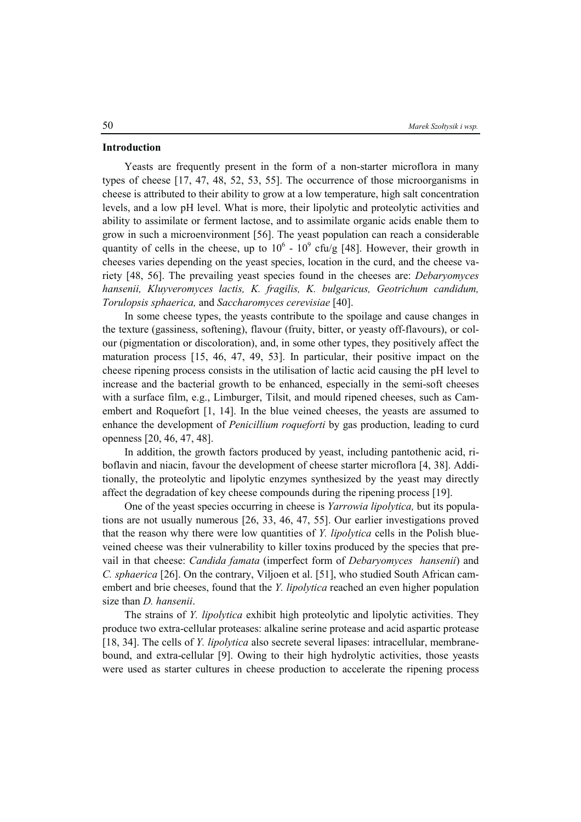#### **Introduction**

Yeasts are frequently present in the form of a non-starter microflora in many types of cheese [17, 47, 48, 52, 53, 55]. The occurrence of those microorganisms in cheese is attributed to their ability to grow at a low temperature, high salt concentration levels, and a low pH level. What is more, their lipolytic and proteolytic activities and ability to assimilate or ferment lactose, and to assimilate organic acids enable them to grow in such a microenvironment [56]. The yeast population can reach a considerable quantity of cells in the cheese, up to  $10^6 \text{ - } 10^9$  cfu/g [48]. However, their growth in cheeses varies depending on the yeast species, location in the curd, and the cheese variety [48, 56]. The prevailing yeast species found in the cheeses are: *Debaryomyces hansenii, Kluyveromyces lactis, K. fragilis, K. bulgaricus, Geotrichum candidum, Torulopsis sphaerica,* and *Saccharomyces cerevisiae* [40].

In some cheese types, the yeasts contribute to the spoilage and cause changes in the texture (gassiness, softening), flavour (fruity, bitter, or yeasty off-flavours), or colour (pigmentation or discoloration), and, in some other types, they positively affect the maturation process [15, 46, 47, 49, 53]. In particular, their positive impact on the cheese ripening process consists in the utilisation of lactic acid causing the pH level to increase and the bacterial growth to be enhanced, especially in the semi-soft cheeses with a surface film, e.g., Limburger, Tilsit, and mould ripened cheeses, such as Camembert and Roquefort [1, 14]. In the blue veined cheeses, the yeasts are assumed to enhance the development of *Penicillium roqueforti* by gas production, leading to curd openness [20, 46, 47, 48].

In addition, the growth factors produced by yeast, including pantothenic acid, riboflavin and niacin, favour the development of cheese starter microflora [4, 38]. Additionally, the proteolytic and lipolytic enzymes synthesized by the yeast may directly affect the degradation of key cheese compounds during the ripening process [19].

One of the yeast species occurring in cheese is *Yarrowia lipolytica,* but its populations are not usually numerous [26, 33, 46, 47, 55]. Our earlier investigations proved that the reason why there were low quantities of *Y. lipolytica* cells in the Polish blueveined cheese was their vulnerability to killer toxins produced by the species that prevail in that cheese: *Candida famata* (imperfect form of *Debaryomyces hansenii*) and *C. sphaerica* [26]. On the contrary, Viljoen et al. [51], who studied South African camembert and brie cheeses, found that the *Y. lipolytica* reached an even higher population size than *D. hansenii*.

The strains of *Y. lipolytica* exhibit high proteolytic and lipolytic activities. They produce two extra-cellular proteases: alkaline serine protease and acid aspartic protease [18, 34]. The cells of *Y. lipolytica* also secrete several lipases: intracellular, membranebound, and extra-cellular [9]. Owing to their high hydrolytic activities, those yeasts were used as starter cultures in cheese production to accelerate the ripening process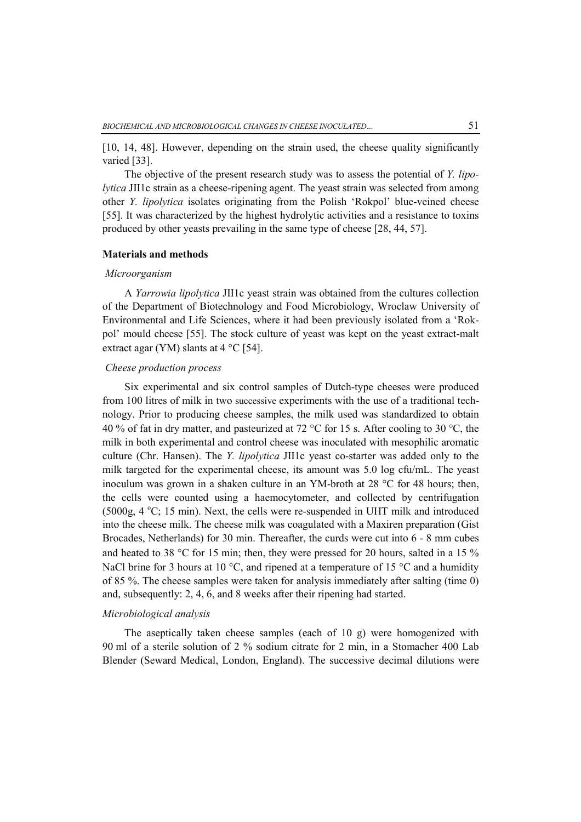[10, 14, 48]. However, depending on the strain used, the cheese quality significantly varied [33].

The objective of the present research study was to assess the potential of *Y. lipolytica* JII1c strain as a cheese-ripening agent. The yeast strain was selected from among other *Y. lipolytica* isolates originating from the Polish 'Rokpol' blue-veined cheese [55]. It was characterized by the highest hydrolytic activities and a resistance to toxins produced by other yeasts prevailing in the same type of cheese [28, 44, 57].

#### **Materials and methods**

#### *Microorganism*

A *Yarrowia lipolytica* JII1c yeast strain was obtained from the cultures collection of the Department of Biotechnology and Food Microbiology, Wroclaw University of Environmental and Life Sciences, where it had been previously isolated from a 'Rokpol' mould cheese [55]. The stock culture of yeast was kept on the yeast extract-malt extract agar (YM) slants at  $4^{\circ}$ C [54].

## *Cheese production process*

Six experimental and six control samples of Dutch-type cheeses were produced from 100 litres of milk in two successive experiments with the use of a traditional technology. Prior to producing cheese samples, the milk used was standardized to obtain 40 % of fat in dry matter, and pasteurized at 72 °C for 15 s. After cooling to 30 °C, the milk in both experimental and control cheese was inoculated with mesophilic aromatic culture (Chr. Hansen). The *Y. lipolytica* JII1c yeast co-starter was added only to the milk targeted for the experimental cheese, its amount was 5.0 log cfu/mL. The yeast inoculum was grown in a shaken culture in an YM-broth at 28  $\degree$ C for 48 hours; then, the cells were counted using a haemocytometer, and collected by centrifugation  $(5000g, 4 °C; 15 min)$ . Next, the cells were re-suspended in UHT milk and introduced into the cheese milk. The cheese milk was coagulated with a Maxiren preparation (Gist Brocades, Netherlands) for 30 min. Thereafter, the curds were cut into 6 - 8 mm cubes and heated to 38 °C for 15 min; then, they were pressed for 20 hours, salted in a 15  $\%$ NaCl brine for 3 hours at 10  $^{\circ}$ C, and ripened at a temperature of 15  $^{\circ}$ C and a humidity of 85 %. The cheese samples were taken for analysis immediately after salting (time 0) and, subsequently: 2, 4, 6, and 8 weeks after their ripening had started.

### *Microbiological analysis*

The aseptically taken cheese samples (each of 10 g) were homogenized with 90 ml of a sterile solution of 2 % sodium citrate for 2 min, in a Stomacher 400 Lab Blender (Seward Medical, London, England). The successive decimal dilutions were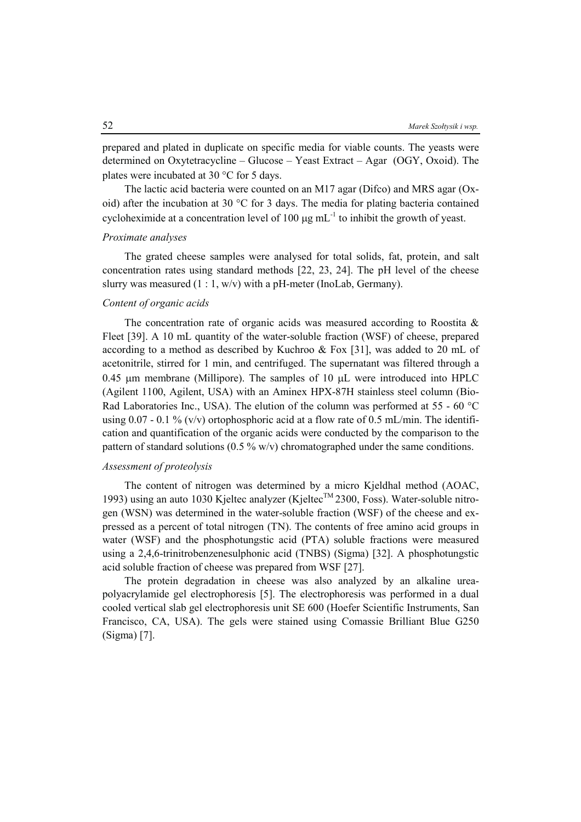prepared and plated in duplicate on specific media for viable counts. The yeasts were determined on Oxytetracycline – Glucose – Yeast Extract – Agar (OGY, Oxoid). The plates were incubated at 30  $\degree$ C for 5 days.

The lactic acid bacteria were counted on an M17 agar (Difco) and MRS agar (Oxoid) after the incubation at 30 °C for 3 days. The media for plating bacteria contained cycloheximide at a concentration level of 100  $\mu$ g mL<sup>-1</sup> to inhibit the growth of yeast.

#### *Proximate analyses*

The grated cheese samples were analysed for total solids, fat, protein, and salt concentration rates using standard methods [22, 23, 24]. The pH level of the cheese slurry was measured  $(1:1, w/v)$  with a pH-meter (InoLab, Germany).

### *Content of organic acids*

The concentration rate of organic acids was measured according to Roostita  $\&$ Fleet [39]. A 10 mL quantity of the water-soluble fraction (WSF) of cheese, prepared according to a method as described by Kuchroo  $&$  Fox [31], was added to 20 mL of acetonitrile, stirred for 1 min, and centrifuged. The supernatant was filtered through a 0.45  $\mu$ m membrane (Millipore). The samples of 10  $\mu$ L were introduced into HPLC (Agilent 1100, Agilent, USA) with an Aminex HPX-87H stainless steel column (Bio-Rad Laboratories Inc., USA). The elution of the column was performed at  $55 - 60$  °C using 0.07 - 0.1 % (v/v) ortophosphoric acid at a flow rate of 0.5 mL/min. The identification and quantification of the organic acids were conducted by the comparison to the pattern of standard solutions  $(0.5\% \text{ w/v})$  chromatographed under the same conditions.

### *Assessment of proteolysis*

The content of nitrogen was determined by a micro Kjeldhal method (AOAC, 1993) using an auto 1030 Kjeltec analyzer (Kjeltec<sup>TM</sup> 2300, Foss). Water-soluble nitrogen (WSN) was determined in the water-soluble fraction (WSF) of the cheese and expressed as a percent of total nitrogen (TN). The contents of free amino acid groups in water (WSF) and the phosphotungstic acid (PTA) soluble fractions were measured using a 2,4,6-trinitrobenzenesulphonic acid (TNBS) (Sigma) [32]. A phosphotungstic acid soluble fraction of cheese was prepared from WSF [27].

The protein degradation in cheese was also analyzed by an alkaline ureapolyacrylamide gel electrophoresis [5]. The electrophoresis was performed in a dual cooled vertical slab gel electrophoresis unit SE 600 (Hoefer Scientific Instruments, San Francisco, CA, USA). The gels were stained using Comassie Brilliant Blue G250 (Sigma) [7].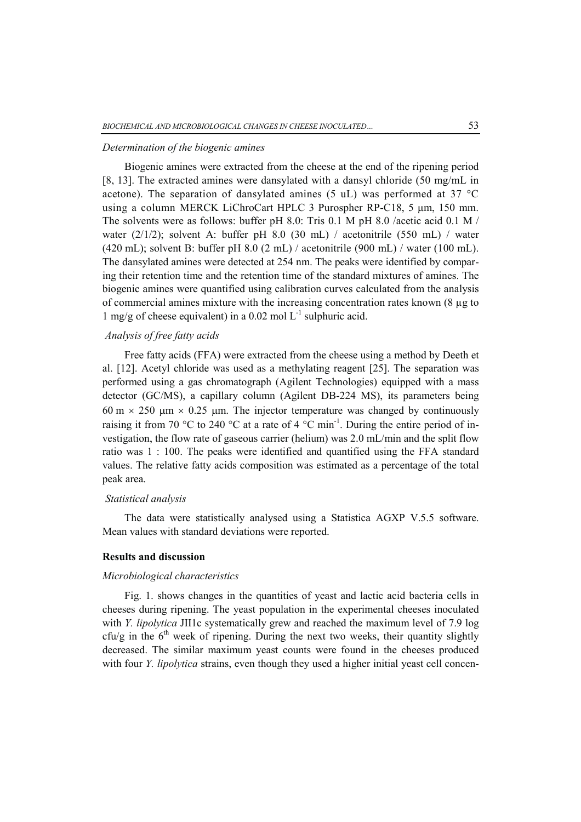#### *Determination of the biogenic amines*

Biogenic amines were extracted from the cheese at the end of the ripening period [8, 13]. The extracted amines were dansylated with a dansyl chloride (50 mg/mL in acetone). The separation of dansylated amines (5 uL) was performed at 37  $^{\circ}$ C using a column MERCK LiChroCart HPLC 3 Purospher RP-C18, 5 μm, 150 mm. The solvents were as follows: buffer pH 8.0: Tris 0.1 M pH 8.0 /acetic acid 0.1 M / water  $(2/1/2)$ ; solvent A: buffer pH 8.0 (30 mL) / acetonitrile (550 mL) / water (420 mL); solvent B: buffer pH 8.0 (2 mL) / acetonitrile (900 mL) / water (100 mL). The dansylated amines were detected at 254 nm. The peaks were identified by comparing their retention time and the retention time of the standard mixtures of amines. The biogenic amines were quantified using calibration curves calculated from the analysis of commercial amines mixture with the increasing concentration rates known (8 µg to 1 mg/g of cheese equivalent) in a 0.02 mol  $L^{-1}$  sulphuric acid.

### *Analysis of free fatty acids*

Free fatty acids (FFA) were extracted from the cheese using a method by Deeth et al. [12]. Acetyl chloride was used as a methylating reagent [25]. The separation was performed using a gas chromatograph (Agilent Technologies) equipped with a mass detector (GC/MS), a capillary column (Agilent DB-224 MS), its parameters being 60 m  $\times$  250 µm  $\times$  0.25 µm. The injector temperature was changed by continuously raising it from 70 °C to 240 °C at a rate of 4 °C min<sup>-1</sup>. During the entire period of investigation, the flow rate of gaseous carrier (helium) was 2.0 mL/min and the split flow ratio was 1 : 100. The peaks were identified and quantified using the FFA standard values. The relative fatty acids composition was estimated as a percentage of the total peak area.

### *Statistical analysis*

The data were statistically analysed using a Statistica AGXP V.5.5 software. Mean values with standard deviations were reported.

### **Results and discussion**

#### *Microbiological characteristics*

Fig. 1. shows changes in the quantities of yeast and lactic acid bacteria cells in cheeses during ripening. The yeast population in the experimental cheeses inoculated with *Y. lipolytica* JII1c systematically grew and reached the maximum level of 7.9 log  $cfu/g$  in the  $6<sup>th</sup>$  week of ripening. During the next two weeks, their quantity slightly decreased. The similar maximum yeast counts were found in the cheeses produced with four *Y. lipolytica* strains, even though they used a higher initial yeast cell concen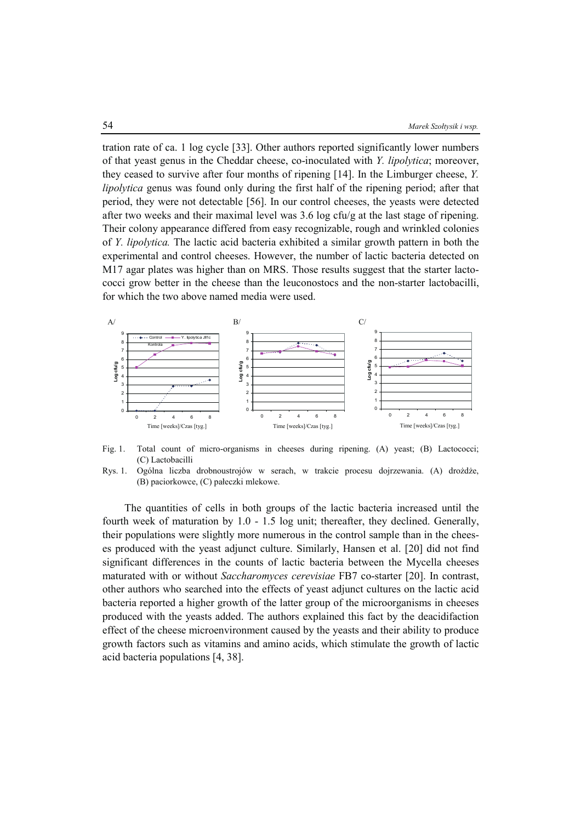tration rate of ca. 1 log cycle [33]. Other authors reported significantly lower numbers of that yeast genus in the Cheddar cheese, co-inoculated with *Y. lipolytica*; moreover, they ceased to survive after four months of ripening [14]. In the Limburger cheese, *Y. lipolytica* genus was found only during the first half of the ripening period; after that period, they were not detectable [56]. In our control cheeses, the yeasts were detected after two weeks and their maximal level was 3.6 log cfu/g at the last stage of ripening. Their colony appearance differed from easy recognizable, rough and wrinkled colonies of *Y. lipolytica.* The lactic acid bacteria exhibited a similar growth pattern in both the experimental and control cheeses. However, the number of lactic bacteria detected on M17 agar plates was higher than on MRS. Those results suggest that the starter lactococci grow better in the cheese than the leuconostocs and the non-starter lactobacilli, for which the two above named media were used.



Fig. 1. Total count of micro-organisms in cheeses during ripening. (A) yeast; (B) Lactococci; (C) Lactobacilli



The quantities of cells in both groups of the lactic bacteria increased until the fourth week of maturation by 1.0 - 1.5 log unit; thereafter, they declined. Generally, their populations were slightly more numerous in the control sample than in the cheeses produced with the yeast adjunct culture. Similarly, Hansen et al. [20] did not find significant differences in the counts of lactic bacteria between the Mycella cheeses maturated with or without *Saccharomyces cerevisiae* FB7 co-starter [20]. In contrast, other authors who searched into the effects of yeast adjunct cultures on the lactic acid bacteria reported a higher growth of the latter group of the microorganisms in cheeses produced with the yeasts added. The authors explained this fact by the deacidifaction effect of the cheese microenvironment caused by the yeasts and their ability to produce growth factors such as vitamins and amino acids, which stimulate the growth of lactic acid bacteria populations [4, 38].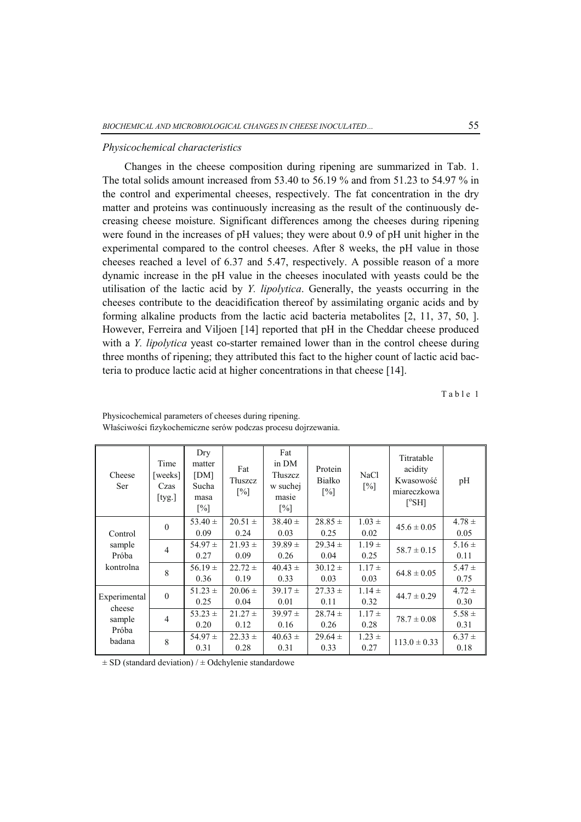#### *Physicochemical characteristics*

Changes in the cheese composition during ripening are summarized in Tab. 1. The total solids amount increased from 53.40 to 56.19 % and from 51.23 to 54.97 % in the control and experimental cheeses, respectively. The fat concentration in the dry matter and proteins was continuously increasing as the result of the continuously decreasing cheese moisture. Significant differences among the cheeses during ripening were found in the increases of pH values; they were about 0.9 of pH unit higher in the experimental compared to the control cheeses. After 8 weeks, the pH value in those cheeses reached a level of 6.37 and 5.47, respectively. A possible reason of a more dynamic increase in the pH value in the cheeses inoculated with yeasts could be the utilisation of the lactic acid by *Y. lipolytica*. Generally, the yeasts occurring in the cheeses contribute to the deacidification thereof by assimilating organic acids and by forming alkaline products from the lactic acid bacteria metabolites [2, 11, 37, 50, ]. However, Ferreira and Viljoen [14] reported that pH in the Cheddar cheese produced with a *Y. lipolytica* yeast co-starter remained lower than in the control cheese during three months of ripening; they attributed this fact to the higher count of lactic acid bacteria to produce lactic acid at higher concentrations in that cheese [14].

Table 1

| Cheese<br>Ser                                       | Time<br>[weeks]<br>Czas<br>$[$ tyg. $]$ | Dry<br>matter<br>[DM]<br>Sucha<br>masa<br>$\lceil\% \rceil$ | Fat<br>Tłuszcz<br>$\lceil\% \rceil$ | Fat<br>in DM<br>Tłuszcz<br>w suchej<br>masie<br>$\lceil\% \rceil$ | Protein<br>Białko<br>$\lceil\% \rceil$ | NaCl<br>$\lceil\% \rceil$ | Titratable<br>acidity<br>Kwasowość<br>miareczkowa<br>$[^oS H]$ | pH         |
|-----------------------------------------------------|-----------------------------------------|-------------------------------------------------------------|-------------------------------------|-------------------------------------------------------------------|----------------------------------------|---------------------------|----------------------------------------------------------------|------------|
|                                                     | $\theta$                                | 53.40 $\pm$                                                 | $20.51 \pm$                         | $38.40 \pm$                                                       | $28.85 \pm$                            | $1.03 \pm$                | $45.6 \pm 0.05$                                                | $4.78 \pm$ |
| Control<br>sample<br>Próba<br>kontrolna             |                                         | 0.09                                                        | 0.24                                | 0.03                                                              | 0.25                                   | 0.02                      |                                                                | 0.05       |
|                                                     | $\overline{4}$                          | $54.97 \pm$                                                 | $21.93 \pm$                         | $39.89 \pm$                                                       | $29.34 \pm$                            | $1.19 \pm$                | $58.7 \pm 0.15$                                                | $5.16 \pm$ |
|                                                     |                                         | 0.27                                                        | 0.09                                | 0.26                                                              | 0.04                                   | 0.25                      |                                                                | 0.11       |
|                                                     | 8                                       | $56.19 \pm$                                                 | $22.72 \pm$                         | $40.43 \pm$                                                       | $30.12 \pm$                            | $1.17 \pm$                | $64.8 \pm 0.05$                                                | $5.47 \pm$ |
|                                                     |                                         | 0.36                                                        | 0.19                                | 0.33                                                              | 0.03                                   | 0.03                      |                                                                | 0.75       |
| Experimental<br>cheese<br>sample<br>Próba<br>badana | $\theta$                                | $51.23 \pm$                                                 | $20.06 \pm$                         | $39.17 \pm$                                                       | $27.33 \pm$                            | $1.14 \pm$                | $44.7 \pm 0.29$                                                | $4.72 \pm$ |
|                                                     |                                         | 0.25                                                        | 0.04                                | 0.01                                                              | 0.11                                   | 0.32                      |                                                                | 0.30       |
|                                                     | $\overline{4}$                          | 53.23 $\pm$                                                 | $21.27 \pm$                         | $39.97 \pm$                                                       | $28.74 \pm$                            | $1.17 \pm$                | $78.7 \pm 0.08$                                                | $5.58 \pm$ |
|                                                     |                                         | 0.20                                                        | 0.12                                | 0.16                                                              | 0.26                                   | 0.28                      |                                                                | 0.31       |
|                                                     | 8                                       | 54.97 $\pm$                                                 | $22.33 \pm$                         | $40.63 \pm$                                                       | $29.64 \pm$                            | $1.23 \pm$                | $113.0 \pm 0.33$                                               | $6.37 \pm$ |
|                                                     |                                         | 0.31                                                        | 0.28                                | 0.31                                                              | 0.33                                   | 0.27                      |                                                                | 0.18       |

Physicochemical parameters of cheeses during ripening. Właściwości fizykochemiczne serów podczas procesu dojrzewania.

 $\pm$  SD (standard deviation) /  $\pm$  Odchylenie standardowe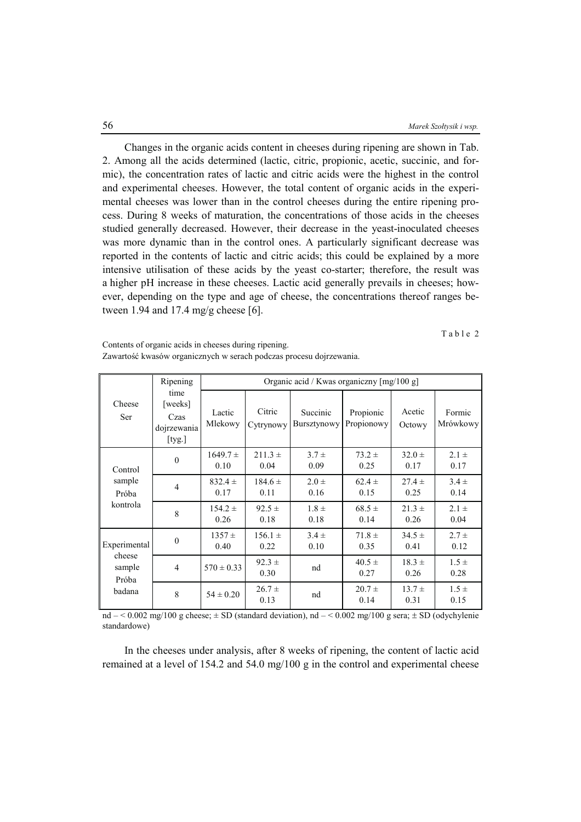Changes in the organic acids content in cheeses during ripening are shown in Tab. 2. Among all the acids determined (lactic, citric, propionic, acetic, succinic, and formic), the concentration rates of lactic and citric acids were the highest in the control and experimental cheeses. However, the total content of organic acids in the experimental cheeses was lower than in the control cheeses during the entire ripening process. During 8 weeks of maturation, the concentrations of those acids in the cheeses studied generally decreased. However, their decrease in the yeast-inoculated cheeses was more dynamic than in the control ones. A particularly significant decrease was reported in the contents of lactic and citric acids; this could be explained by a more intensive utilisation of these acids by the yeast co-starter; therefore, the result was a higher pH increase in these cheeses. Lactic acid generally prevails in cheeses; however, depending on the type and age of cheese, the concentrations thereof ranges between 1.94 and 17.4 mg/g cheese [6].

Table 2

| Cheese<br>Ser                                       | Ripening                                            | Organic acid / Kwas organiczny [mg/100 g] |                     |                                |                         |                    |                    |  |  |
|-----------------------------------------------------|-----------------------------------------------------|-------------------------------------------|---------------------|--------------------------------|-------------------------|--------------------|--------------------|--|--|
|                                                     | time<br>[weeks]<br>Czas<br>dojrzewania<br>$[$ tyg.] | Lactic<br>Mlekowy                         | Citric<br>Cytrynowy | Succinic<br><b>Bursztynowy</b> | Propionic<br>Propionowy | Acetic<br>Octowy   | Formic<br>Mrówkowy |  |  |
| Control<br>sample<br>Próba<br>kontrola              | $\theta$                                            | $1649.7 \pm$<br>0.10                      | $211.3 +$<br>0.04   | $3.7 \pm$<br>0.09              | $73.2 \pm$<br>0.25      | $32.0 \pm$<br>0.17 | $2.1 \pm$<br>0.17  |  |  |
|                                                     | $\overline{4}$                                      | $832.4 \pm$<br>0.17                       | $184.6 \pm$<br>0.11 | $2.0 \pm$<br>0.16              | $62.4 \pm$<br>0.15      | $27.4 \pm$<br>0.25 | $3.4 \pm$<br>0.14  |  |  |
|                                                     | 8                                                   | $154.2 \pm$<br>0.26                       | $92.5 \pm$<br>0.18  | $1.8 \pm$<br>0.18              | $68.5 \pm$<br>0.14      | $21.3 \pm$<br>0.26 | $2.1 \pm$<br>0.04  |  |  |
| Experimental<br>cheese<br>sample<br>Próba<br>badana | $\mathbf{0}$                                        | $1357 \pm$<br>0.40                        | $156.1 \pm$<br>0.22 | $3.4 \pm$<br>0.10              | $71.8 \pm$<br>0.35      | $34.5 \pm$<br>0.41 | $2.7 +$<br>0.12    |  |  |
|                                                     | $\overline{4}$                                      | $570 \pm 0.33$                            | $92.3 \pm$<br>0.30  | nd                             | $40.5 \pm$<br>0.27      | $18.3 \pm$<br>0.26 | $1.5 \pm$<br>0.28  |  |  |
|                                                     | 8                                                   | $54 \pm 0.20$                             | $26.7 \pm$<br>0.13  | nd                             | $20.7 \pm$<br>0.14      | $13.7 \pm$<br>0.31 | $1.5 \pm$<br>0.15  |  |  |

Contents of organic acids in cheeses during ripening. Zawartość kwasów organicznych w serach podczas procesu dojrzewania.

nd  $-$  < 0.002 mg/100 g cheese;  $\pm$  SD (standard deviation), nd  $-$  < 0.002 mg/100 g sera;  $\pm$  SD (odychylenie standardowe)

In the cheeses under analysis, after 8 weeks of ripening, the content of lactic acid remained at a level of 154.2 and 54.0 mg/100 g in the control and experimental cheese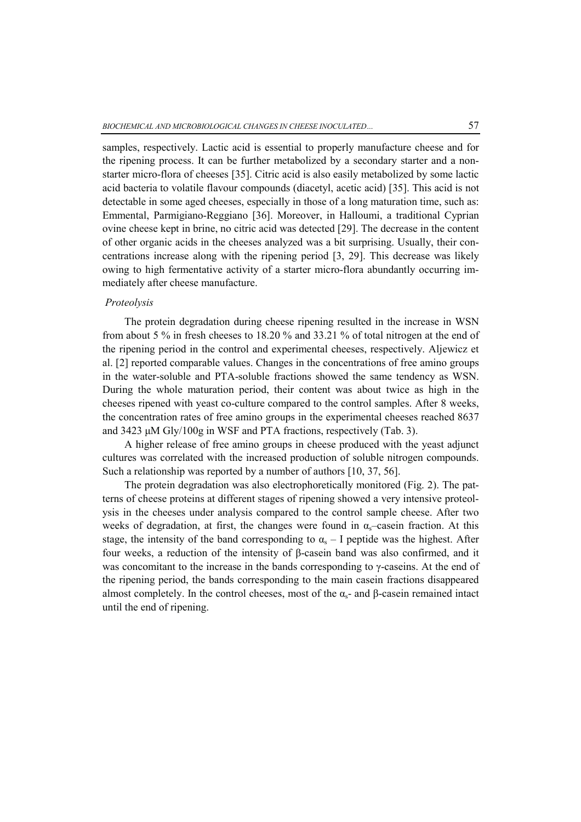samples, respectively. Lactic acid is essential to properly manufacture cheese and for the ripening process. It can be further metabolized by a secondary starter and a nonstarter micro-flora of cheeses [35]. Citric acid is also easily metabolized by some lactic acid bacteria to volatile flavour compounds (diacetyl, acetic acid) [35]. This acid is not detectable in some aged cheeses, especially in those of a long maturation time, such as: Emmental, Parmigiano-Reggiano [36]. Moreover, in Halloumi, a traditional Cyprian ovine cheese kept in brine, no citric acid was detected [29]. The decrease in the content of other organic acids in the cheeses analyzed was a bit surprising. Usually, their concentrations increase along with the ripening period [3, 29]. This decrease was likely owing to high fermentative activity of a starter micro-flora abundantly occurring immediately after cheese manufacture.

#### *Proteolysis*

The protein degradation during cheese ripening resulted in the increase in WSN from about 5 % in fresh cheeses to 18.20 % and 33.21 % of total nitrogen at the end of the ripening period in the control and experimental cheeses, respectively. Aljewicz et al. [2] reported comparable values. Changes in the concentrations of free amino groups in the water-soluble and PTA-soluble fractions showed the same tendency as WSN. During the whole maturation period, their content was about twice as high in the cheeses ripened with yeast co-culture compared to the control samples. After 8 weeks, the concentration rates of free amino groups in the experimental cheeses reached 8637 and 3423 μM Gly/100g in WSF and PTA fractions, respectively (Tab. 3).

A higher release of free amino groups in cheese produced with the yeast adjunct cultures was correlated with the increased production of soluble nitrogen compounds. Such a relationship was reported by a number of authors [10, 37, 56].

The protein degradation was also electrophoretically monitored (Fig. 2). The patterns of cheese proteins at different stages of ripening showed a very intensive proteolysis in the cheeses under analysis compared to the control sample cheese. After two weeks of degradation, at first, the changes were found in  $\alpha_s$ –casein fraction. At this stage, the intensity of the band corresponding to  $\alpha_s - I$  peptide was the highest. After four weeks, a reduction of the intensity of β-casein band was also confirmed, and it was concomitant to the increase in the bands corresponding to  $\gamma$ -caseins. At the end of the ripening period, the bands corresponding to the main casein fractions disappeared almost completely. In the control cheeses, most of the  $\alpha_{s}$ - and  $\beta$ -casein remained intact until the end of ripening.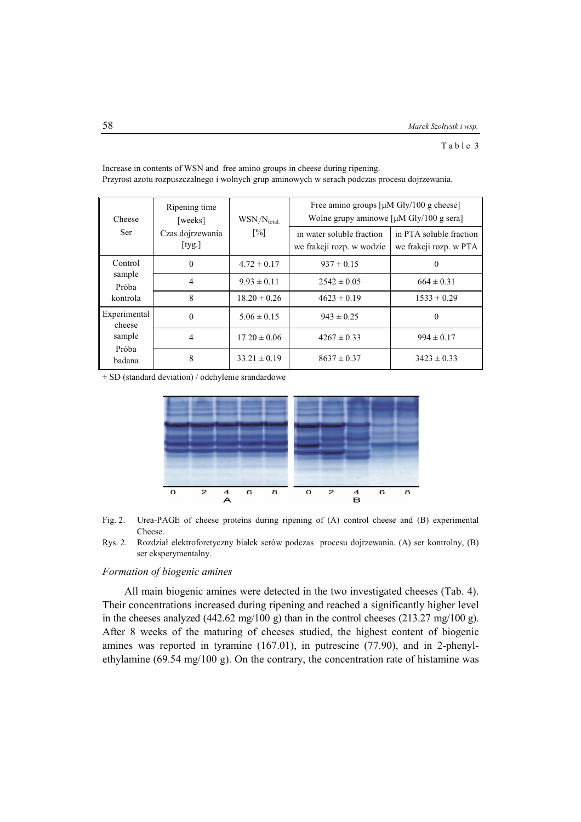Table 3

| Cheese                                              | Ripening time<br>[weeks]         | WSN/N <sub>total</sub> | Free amino groups $\lceil \mu M \text{ Gly}/100 \text{ g} \text{ cheese} \rceil$<br>Wolne grupy aminowe $\lceil \mu M \text{ Gly}/100 \text{ g} \text{ sera} \rceil$ |                                                   |  |  |
|-----------------------------------------------------|----------------------------------|------------------------|----------------------------------------------------------------------------------------------------------------------------------------------------------------------|---------------------------------------------------|--|--|
| Ser                                                 | Czas dojrzewania<br>$[$ tyg. $]$ | $\lceil\% \rceil$      | in water soluble fraction<br>we frakcji rozp. w wodzie                                                                                                               | in PTA soluble fraction<br>we frakcji rozp. w PTA |  |  |
| Control<br>sample<br>Próba<br>kontrola              | 0                                | $4.72 \pm 0.17$        | $937 \pm 0.15$                                                                                                                                                       | $\theta$                                          |  |  |
|                                                     | 4                                | $9.93 \pm 0.11$        | $2542 \pm 0.05$                                                                                                                                                      | $664 \pm 0.31$                                    |  |  |
|                                                     | 8                                | $18.20 \pm 0.26$       | $4623 \pm 0.19$                                                                                                                                                      | $1533 \pm 0.29$                                   |  |  |
| Experimental<br>cheese<br>sample<br>Próba<br>badana | $\Omega$                         | $5.06 \pm 0.15$        | $943 \pm 0.25$                                                                                                                                                       | $\Omega$                                          |  |  |
|                                                     | 4                                | $17.20 \pm 0.06$       | $4267 \pm 0.33$                                                                                                                                                      | $994 \pm 0.17$                                    |  |  |
|                                                     | 8                                | $33.21 \pm 0.19$       | $8637 \pm 0.37$                                                                                                                                                      | $3423 \pm 0.33$                                   |  |  |

Increase in contents of WSN and free amino groups in cheese during ripening. Przyrost azotu rozpuszczalnego i wolnych grup aminowych w serach podczas procesu dojrzewania.

± SD (standard deviation) / odchylenie srandardowe



- Fig. 2. Urea-PAGE of cheese proteins during ripening of (A) control cheese and (B) experimental Cheese.
- Rys. 2. Rozdział elektroforetyczny białek serów podczas procesu dojrzewania. (A) ser kontrolny, (B) ser eksperymentalny.

### *Formation of biogenic amines*

All main biogenic amines were detected in the two investigated cheeses (Tab. 4). Their concentrations increased during ripening and reached a significantly higher level in the cheeses analyzed (442.62 mg/100 g) than in the control cheeses (213.27 mg/100 g). After 8 weeks of the maturing of cheeses studied, the highest content of biogenic amines was reported in tyramine (167.01), in putrescine (77.90), and in 2-phenylethylamine (69.54 mg/100 g). On the contrary, the concentration rate of histamine was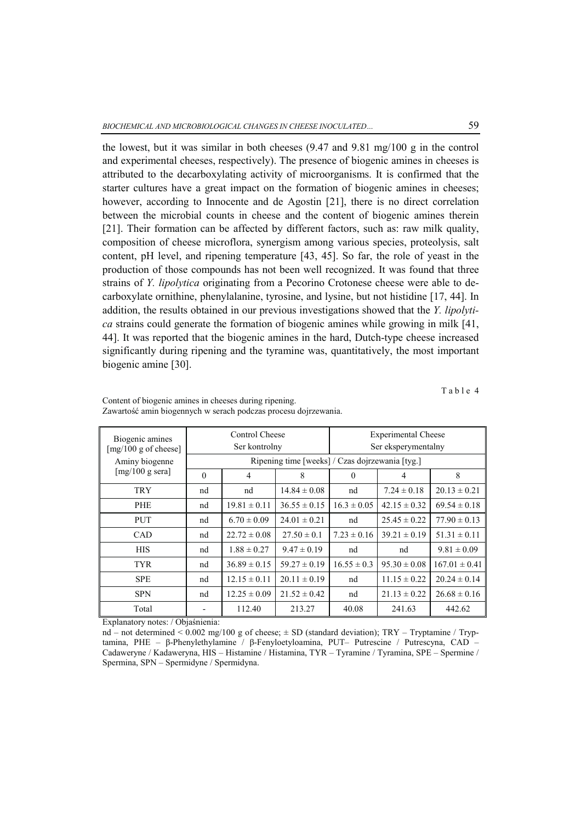the lowest, but it was similar in both cheeses (9.47 and 9.81 mg/100 g in the control and experimental cheeses, respectively). The presence of biogenic amines in cheeses is attributed to the decarboxylating activity of microorganisms. It is confirmed that the starter cultures have a great impact on the formation of biogenic amines in cheeses; however, according to Innocente and de Agostin [21], there is no direct correlation between the microbial counts in cheese and the content of biogenic amines therein [21]. Their formation can be affected by different factors, such as: raw milk quality, composition of cheese microflora, synergism among various species, proteolysis, salt content, pH level, and ripening temperature [43, 45]. So far, the role of yeast in the production of those compounds has not been well recognized. It was found that three strains of *Y. lipolytica* originating from a Pecorino Crotonese cheese were able to decarboxylate ornithine, phenylalanine, tyrosine, and lysine, but not histidine [17, 44]. In addition, the results obtained in our previous investigations showed that the *Y. lipolytica* strains could generate the formation of biogenic amines while growing in milk [41, 44]. It was reported that the biogenic amines in the hard, Dutch-type cheese increased significantly during ripening and the tyramine was, quantitatively, the most important biogenic amine [30].

Table 4

| Biogenic amines<br>[mg/100 g of cheese] | Control Cheese<br>Ser kontrolny                 |                  |                  | <b>Experimental Cheese</b><br>Ser eksperymentalny |                  |                   |  |  |
|-----------------------------------------|-------------------------------------------------|------------------|------------------|---------------------------------------------------|------------------|-------------------|--|--|
| Aminy biogenne                          | Ripening time [weeks] / Czas dojrzewania [tyg.] |                  |                  |                                                   |                  |                   |  |  |
| $[mg/100 g \text{ sera}]$               | $\theta$                                        | $\overline{4}$   | 8                | $\Omega$                                          | $\overline{4}$   | 8                 |  |  |
| <b>TRY</b>                              | nd                                              | nd               | $14.84 \pm 0.08$ | nd                                                | $7.24 \pm 0.18$  | $20.13 \pm 0.21$  |  |  |
| <b>PHE</b>                              | nd                                              | $19.81 \pm 0.11$ | $36.55 \pm 0.15$ | $16.3 \pm 0.05$                                   | $42.15 \pm 0.32$ | $69.54 \pm 0.18$  |  |  |
| <b>PUT</b>                              | nd                                              | $6.70 \pm 0.09$  | $24.01 \pm 0.21$ | nd                                                | $25.45 \pm 0.22$ | $77.90 \pm 0.13$  |  |  |
| <b>CAD</b>                              | nd                                              | $22.72 \pm 0.08$ | $27.50 \pm 0.1$  | $7.23 \pm 0.16$                                   | $39.21 \pm 0.19$ | $51.31 \pm 0.11$  |  |  |
| <b>HIS</b>                              | nd                                              | $1.88 \pm 0.27$  | $9.47 \pm 0.19$  | nd                                                | nd               | $9.81 \pm 0.09$   |  |  |
| <b>TYR</b>                              | nd                                              | $36.89 \pm 0.15$ | $59.27 \pm 0.19$ | $16.55 \pm 0.3$                                   | $95.30 \pm 0.08$ | $167.01 \pm 0.41$ |  |  |
| <b>SPE</b>                              | nd                                              | $12.15 \pm 0.11$ | $20.11 \pm 0.19$ | nd                                                | $11.15 \pm 0.22$ | $20.24 \pm 0.14$  |  |  |
| <b>SPN</b>                              | nd                                              | $12.25 \pm 0.09$ | $21.52 \pm 0.42$ | nd                                                | $21.13 \pm 0.22$ | $26.68 \pm 0.16$  |  |  |
| Total                                   |                                                 | 112.40           | 213.27           | 40.08                                             | 241.63           | 442.62            |  |  |

Content of biogenic amines in cheeses during ripening. Zawartość amin biogennych w serach podczas procesu dojrzewania.

Explanatory notes: / Objaśnienia:

nd – not determined  $\leq 0.002$  mg/100 g of cheese;  $\pm$  SD (standard deviation); TRY – Tryptamine / Tryptamina, PHE – β-Phenylethylamine / β-Fenyloetyloamina, PUT– Putrescine / Putrescyna, CAD – Cadaweryne / Kadaweryna, HIS – Histamine / Histamina, TYR – Tyramine / Tyramina, SPE – Spermine / Spermina, SPN – Spermidyne / Spermidyna.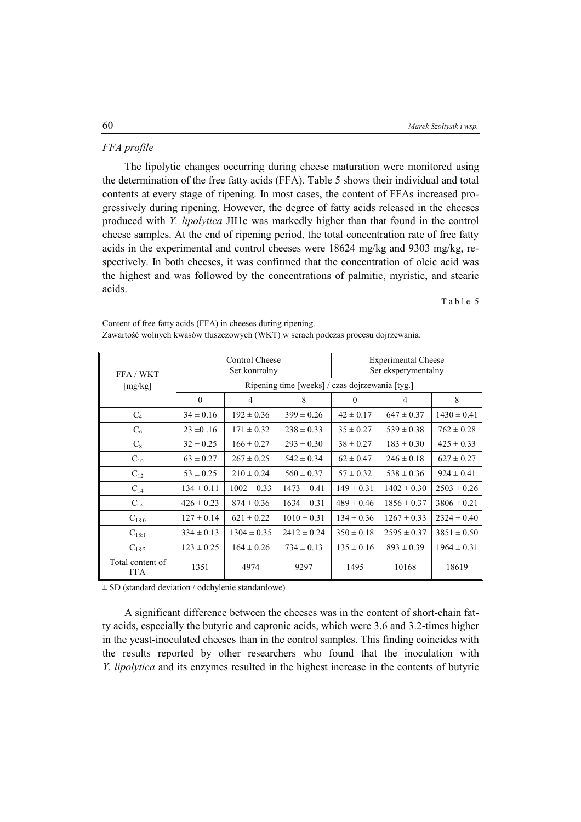#### *FFA profile*

The lipolytic changes occurring during cheese maturation were monitored using the determination of the free fatty acids (FFA). Table 5 shows their individual and total contents at every stage of ripening. In most cases, the content of FFAs increased progressively during ripening. However, the degree of fatty acids released in the cheeses produced with *Y. lipolytica* JII1c was markedly higher than that found in the control cheese samples. At the end of ripening period, the total concentration rate of free fatty acids in the experimental and control cheeses were 18624 mg/kg and 9303 mg/kg, respectively. In both cheeses, it was confirmed that the concentration of oleic acid was the highest and was followed by the concentrations of palmitic, myristic, and stearic acids.

Table 5

| FFA / WKT                      |                                                 | Control Cheese<br>Ser kontrolny |                 | <b>Experimental Cheese</b><br>Ser eksperymentalny |                 |                 |  |  |
|--------------------------------|-------------------------------------------------|---------------------------------|-----------------|---------------------------------------------------|-----------------|-----------------|--|--|
| [mg/kg]                        | Ripening time [weeks] / czas dojrzewania [tyg.] |                                 |                 |                                                   |                 |                 |  |  |
|                                | $\theta$                                        | 4                               | 8               | $\left($                                          | 4               | 8               |  |  |
| $C_4$                          | $34 \pm 0.16$                                   | $192 \pm 0.36$                  | $399 \pm 0.26$  | $42 \pm 0.17$                                     | $647 \pm 0.37$  | $1430 \pm 0.41$ |  |  |
| $C_6$                          | $23 \pm 0.16$                                   | $171 \pm 0.32$                  | $238 \pm 0.33$  | $35 \pm 0.27$                                     | $539 \pm 0.38$  | $762 \pm 0.28$  |  |  |
| $C_8$                          | $32 \pm 0.25$                                   | $166 \pm 0.27$                  | $293 \pm 0.30$  | $38 \pm 0.27$                                     | $183 \pm 0.30$  | $425 \pm 0.33$  |  |  |
| $C_{10}$                       | $63 \pm 0.27$                                   | $267 \pm 0.25$                  | $542 \pm 0.34$  | $62 \pm 0.47$                                     | $246 \pm 0.18$  | $627 \pm 0.27$  |  |  |
| $C_{12}$                       | $53 \pm 0.25$                                   | $210 \pm 0.24$                  | $560 \pm 0.37$  | $57 \pm 0.32$                                     | $538 \pm 0.36$  | $924 \pm 0.41$  |  |  |
| $C_{14}$                       | $134 \pm 0.11$                                  | $1002 \pm 0.33$                 | $1473 \pm 0.41$ | $149 \pm 0.31$                                    | $1402 \pm 0.30$ | $2503 \pm 0.26$ |  |  |
| $C_{16}$                       | $426 \pm 0.23$                                  | $874 \pm 0.36$                  | $1634 \pm 0.31$ | $489 \pm 0.46$                                    | $1856 \pm 0.37$ | $3806 \pm 0.21$ |  |  |
| $C_{18:0}$                     | $127 \pm 0.14$                                  | $621 \pm 0.22$                  | $1010 \pm 0.31$ | $134 \pm 0.36$                                    | $1267 \pm 0.33$ | $2324 \pm 0.40$ |  |  |
| $C_{18:1}$                     | $334 \pm 0.13$                                  | $1304 \pm 0.35$                 | $2412 \pm 0.24$ | $350 \pm 0.18$                                    | $2595 \pm 0.37$ | $3851 \pm 0.50$ |  |  |
| $C_{18:2}$                     | $123 \pm 0.25$                                  | $164 \pm 0.26$                  | $734 \pm 0.13$  | $135 \pm 0.16$                                    | $893 \pm 0.39$  | $1964 \pm 0.31$ |  |  |
| Total content of<br><b>FFA</b> | 1351                                            | 4974                            | 9297            | 1495                                              | 10168           | 18619           |  |  |

Content of free fatty acids (FFA) in cheeses during ripening. Zawartość wolnych kwasów tłuszczowych (WKT) w serach podczas procesu dojrzewania.

± SD (standard deviation / odchylenie standardowe)

A significant difference between the cheeses was in the content of short-chain fatty acids, especially the butyric and capronic acids, which were 3.6 and 3.2-times higher in the yeast-inoculated cheeses than in the control samples. This finding coincides with the results reported by other researchers who found that the inoculation with *Y. lipolytica* and its enzymes resulted in the highest increase in the contents of butyric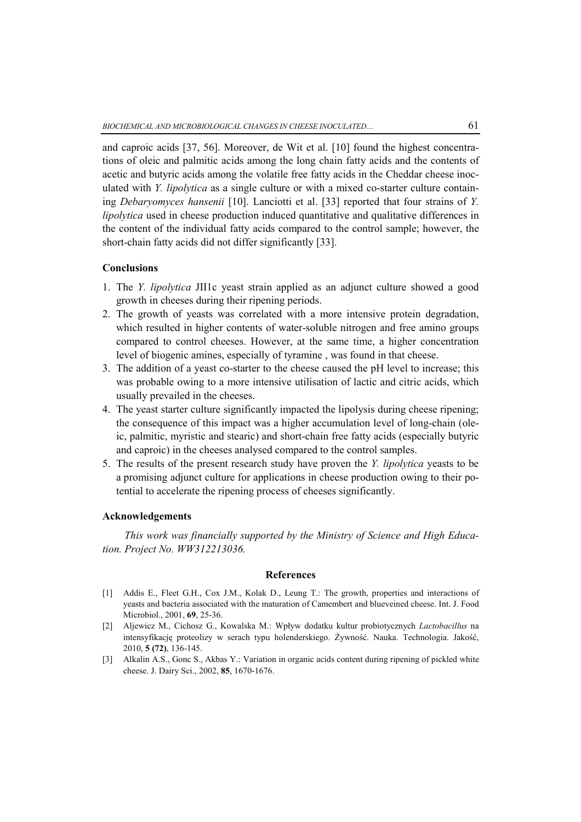and caproic acids [37, 56]. Moreover, de Wit et al. [10] found the highest concentrations of oleic and palmitic acids among the long chain fatty acids and the contents of acetic and butyric acids among the volatile free fatty acids in the Cheddar cheese inoculated with *Y. lipolytica* as a single culture or with a mixed co-starter culture containing *Debaryomyces hansenii* [10]. Lanciotti et al. [33] reported that four strains of *Y. lipolytica* used in cheese production induced quantitative and qualitative differences in the content of the individual fatty acids compared to the control sample; however, the short-chain fatty acids did not differ significantly [33].

#### **Conclusions**

- 1. The *Y. lipolytica* JII1c yeast strain applied as an adjunct culture showed a good growth in cheeses during their ripening periods.
- 2. The growth of yeasts was correlated with a more intensive protein degradation, which resulted in higher contents of water-soluble nitrogen and free amino groups compared to control cheeses. However, at the same time, a higher concentration level of biogenic amines, especially of tyramine , was found in that cheese.
- 3. The addition of a yeast co-starter to the cheese caused the pH level to increase; this was probable owing to a more intensive utilisation of lactic and citric acids, which usually prevailed in the cheeses.
- 4. The yeast starter culture significantly impacted the lipolysis during cheese ripening; the consequence of this impact was a higher accumulation level of long-chain (oleic, palmitic, myristic and stearic) and short-chain free fatty acids (especially butyric and caproic) in the cheeses analysed compared to the control samples.
- 5. The results of the present research study have proven the *Y. lipolytica* yeasts to be a promising adjunct culture for applications in cheese production owing to their potential to accelerate the ripening process of cheeses significantly.

### **Acknowledgements**

*This work was financially supported by the Ministry of Science and High Education. Project No. WW312213036.* 

#### **References**

- [1] Addis E., Fleet G.H., Cox J.M., Kolak D., Leung T.: The growth, properties and interactions of yeasts and bacteria associated with the maturation of Camembert and blueveined cheese. Int. J. Food Microbiol., 2001, **69**, 25-36.
- [2] Aljewicz M., Cichosz G., Kowalska M.: Wpływ dodatku kultur probiotycznych *Lactobacillus* na intensyfikację proteolizy w serach typu holenderskiego. Żywność. Nauka. Technologia. Jakość, 2010, **5 (72)**, 136-145.
- [3] Alkalin A.S., Gonc S., Akbas Y.: Variation in organic acids content during ripening of pickled white cheese. J. Dairy Sci., 2002, **85**, 1670-1676.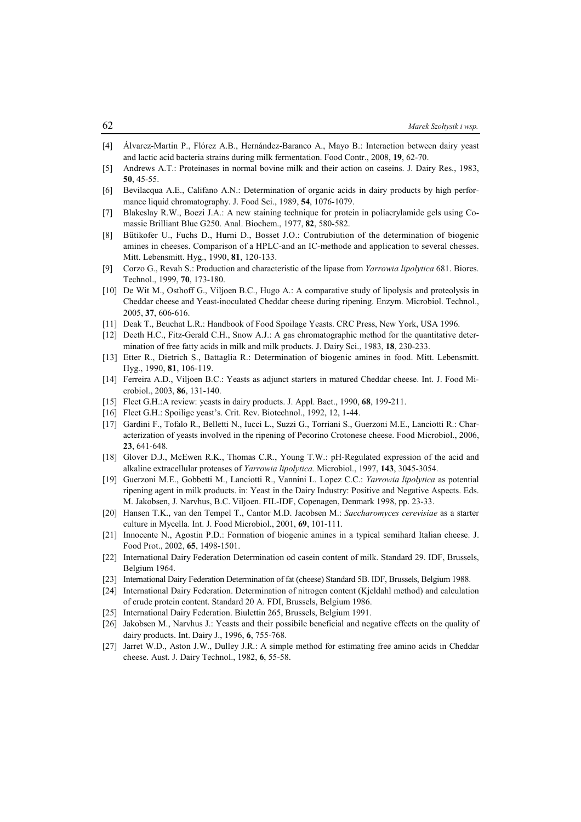- [4] Álvarez-Martin P., Flórez A.B., Hernández-Baranco A., Mayo B.: Interaction between dairy yeast and lactic acid bacteria strains during milk fermentation. Food Contr., 2008, **19**, 62-70.
- [5] Andrews A.T.: Proteinases in normal bovine milk and their action on caseins. J. Dairy Res., 1983, **50**, 45-55.
- [6] Bevilacqua A.E., Califano A.N.: Determination of organic acids in dairy products by high performance liquid chromatography. J. Food Sci., 1989, **54**, 1076-1079.
- [7] Blakeslay R.W., Boezi J.A.: A new staining technique for protein in poliacrylamide gels using Comassie Brilliant Blue G250. Anal. Biochem., 1977, **82**, 580-582.
- [8] Bütikofer U., Fuchs D., Hurni D., Bosset J.O.: Contrubiution of the determination of biogenic amines in cheeses. Comparison of a HPLC-and an IC-methode and application to several chesses. Mitt. Lebensmitt. Hyg., 1990, **81**, 120-133.
- [9] Corzo G., Revah S.: Production and characteristic of the lipase from *Yarrowia lipolytica* 681. Biores. Technol., 1999, **70**, 173-180.
- [10] De Wit M., Osthoff G., Viljoen B.C., Hugo A.: A comparative study of lipolysis and proteolysis in Cheddar cheese and Yeast-inoculated Cheddar cheese during ripening. Enzym. Microbiol. Technol., 2005, **37**, 606-616.
- [11] Deak T., Beuchat L.R.: Handbook of Food Spoilage Yeasts. CRC Press, New York, USA 1996.
- [12] Deeth H.C., Fitz-Gerald C.H., Snow A.J.: A gas chromatographic method for the quantitative determination of free fatty acids in milk and milk products. J. Dairy Sci., 1983, **18**, 230-233.
- [13] Etter R., Dietrich S., Battaglia R.: Determination of biogenic amines in food. Mitt. Lebensmitt. Hyg., 1990, **81**, 106-119.
- [14] Ferreira A.D., Viljoen B.C.: Yeasts as adjunct starters in matured Cheddar cheese. Int. J. Food Microbiol., 2003, **86**, 131-140.
- [15] Fleet G.H.:A review: yeasts in dairy products. J. Appl. Bact., 1990, **68**, 199-211.
- [16] Fleet G.H.: Spoilige yeast's. Crit. Rev. Biotechnol., 1992, 12, 1-44.
- [17] Gardini F., Tofalo R., Belletti N., Iucci L., Suzzi G., Torriani S., Guerzoni M.E., Lanciotti R.: Characterization of yeasts involved in the ripening of Pecorino Crotonese cheese. Food Microbiol., 2006, **23**, 641-648.
- [18] Glover D.J., McEwen R.K., Thomas C.R., Young T.W.: pH-Regulated expression of the acid and alkaline extracellular proteases of *Yarrowia lipolytica.* Microbiol., 1997, **143**, 3045-3054.
- [19] Guerzoni M.E., Gobbetti M., Lanciotti R., Vannini L. Lopez C.C.: *Yarrowia lipolytica* as potential ripening agent in milk products. in: Yeast in the Dairy Industry: Positive and Negative Aspects. Eds. M. Jakobsen, J. Narvhus, B.C. Viljoen. FIL-IDF, Copenagen, Denmark 1998, pp. 23-33.
- [20] Hansen T.K., van den Tempel T., Cantor M.D. Jacobsen M.: *Saccharomyces cerevisiae* as a starter culture in Mycella*.* Int. J. Food Microbiol., 2001, **69**, 101-111.
- [21] Innocente N., Agostin P.D.: Formation of biogenic amines in a typical semihard Italian cheese. J. Food Prot., 2002, **65**, 1498-1501.
- [22] International Dairy Federation Determination od casein content of milk. Standard 29. IDF, Brussels, Belgium 1964.
- [23] International Dairy Federation Determination of fat (cheese) Standard 5B. IDF, Brussels, Belgium 1988.
- [24] International Dairy Federation. Determination of nitrogen content (Kjeldahl method) and calculation of crude protein content. Standard 20 A. FDI, Brussels, Belgium 1986.
- [25] International Dairy Federation. Biulettin 265, Brussels, Belgium 1991.
- [26] Jakobsen M., Narvhus J.: Yeasts and their possibile beneficial and negative effects on the quality of dairy products. Int. Dairy J., 1996, **6**, 755-768.
- [27] Jarret W.D., Aston J.W., Dulley J.R.: A simple method for estimating free amino acids in Cheddar cheese. Aust. J. Dairy Technol., 1982, **6**, 55-58.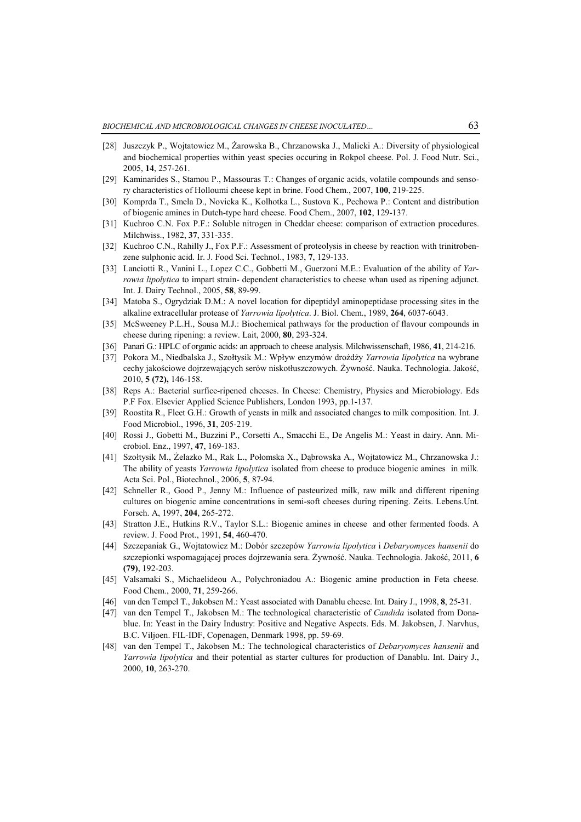- [28] Juszczyk P., Wojtatowicz M., Żarowska B., Chrzanowska J., Malicki A.: Diversity of physiological and biochemical properties within yeast species occuring in Rokpol cheese. Pol. J. Food Nutr. Sci., 2005, **14**, 257-261.
- [29] Kaminarides S., Stamou P., Massouras T.: Changes of organic acids, volatile compounds and sensory characteristics of Holloumi cheese kept in brine. Food Chem., 2007, **100**, 219-225.
- [30] Komprda T., Smela D., Novicka K., Kolhotka L., Sustova K., Pechowa P.: Content and distribution of biogenic amines in Dutch-type hard cheese. Food Chem., 2007, **102**, 129-137.
- [31] Kuchroo C.N. Fox P.F.: Soluble nitrogen in Cheddar cheese: comparison of extraction procedures. Milchwiss., 1982, **37**, 331-335.
- [32] Kuchroo C.N., Rahilly J., Fox P.F.: Assessment of proteolysis in cheese by reaction with trinitrobenzene sulphonic acid. Ir. J. Food Sci. Technol., 1983, **7**, 129-133.
- [33] Lanciotti R., Vanini L., Lopez C.C., Gobbetti M., Guerzoni M.E.: Evaluation of the ability of *Yarrowia lipolytica* to impart strain- dependent characteristics to cheese whan used as ripening adjunct. Int. J. Dairy Technol., 2005, **58**, 89-99.
- [34] Matoba S., Ogrydziak D.M.: A novel location for dipeptidyl aminopeptidase processing sites in the alkaline extracellular protease of *Yarrowia lipolytica*. J. Biol. Chem., 1989, **264**, 6037-6043.
- [35] McSweeney P.L.H., Sousa M.J.: Biochemical pathways for the production of flavour compounds in cheese during ripening: a review. Lait, 2000, **80**, 293-324.
- [36] Panari G.: HPLC of organic acids: an approach to cheese analysis. Milchwissenschaft, 1986, **41**, 214-216.
- [37] Pokora M., Niedbalska J., Szołtysik M.: Wpływ enzymów drożdży *Yarrowia lipolytica* na wybrane cechy jakościowe dojrzewających serów niskotłuszczowych. Żywność. Nauka. Technologia. Jakość, 2010, **5 (72),** 146-158.
- [38] Reps A.: Bacterial surfice-ripened cheeses. In Cheese: Chemistry, Physics and Microbiology. Eds P.F Fox. Elsevier Applied Science Publishers, London 1993, pp.1-137.
- [39] Roostita R., Fleet G.H.: Growth of yeasts in milk and associated changes to milk composition. Int. J. Food Microbiol., 1996, **31**, 205-219.
- [40] Rossi J., Gobetti M., Buzzini P., Corsetti A., Smacchi E., De Angelis M.: Yeast in dairy. Ann. Microbiol. Enz., 1997, **47**, 169-183.
- [41] Szołtysik M., Żelazko M., Rak L., Połomska X., Dąbrowska A., Wojtatowicz M., Chrzanowska J.: The ability of yeasts *Yarrowia lipolytica* isolated from cheese to produce biogenic amines in milk*.* Acta Sci. Pol., Biotechnol., 2006, **5**, 87-94.
- [42] Schneller R., Good P., Jenny M.: Influence of pasteurized milk, raw milk and different ripening cultures on biogenic amine concentrations in semi-soft cheeses during ripening. Zeits. Lebens.Unt. Forsch. A, 1997, **204**, 265-272.
- [43] Stratton J.E., Hutkins R.V., Taylor S.L.: Biogenic amines in cheese and other fermented foods. A review. J. Food Prot., 1991, **54**, 460-470.
- [44] Szczepaniak G., Wojtatowicz M.: Dobór szczepów *Yarrowia lipolytica* i *Debaryomyces hansenii* do szczepionki wspomagającej proces dojrzewania sera. Żywność. Nauka. Technologia. Jakość, 2011, **6 (79)**, 192-203.
- [45] Valsamaki S., Michaelideou A., Polychroniadou A.: Biogenic amine production in Feta cheese*.*  Food Chem., 2000, **71**, 259-266.
- [46] van den Tempel T., Jakobsen M.: Yeast associated with Danablu cheese. Int. Dairy J., 1998, **8**, 25-31.
- [47] van den Tempel T., Jakobsen M.: The technological characteristic of *Candida* isolated from Donablue. In: Yeast in the Dairy Industry: Positive and Negative Aspects. Eds. M. Jakobsen, J. Narvhus, B.C. Viljoen. FIL-IDF, Copenagen, Denmark 1998, pp. 59-69.
- [48] van den Tempel T., Jakobsen M.: The technological characteristics of *Debaryomyces hansenii* and *Yarrowia lipolytica* and their potential as starter cultures for production of Danablu. Int. Dairy J., 2000, **10**, 263-270.